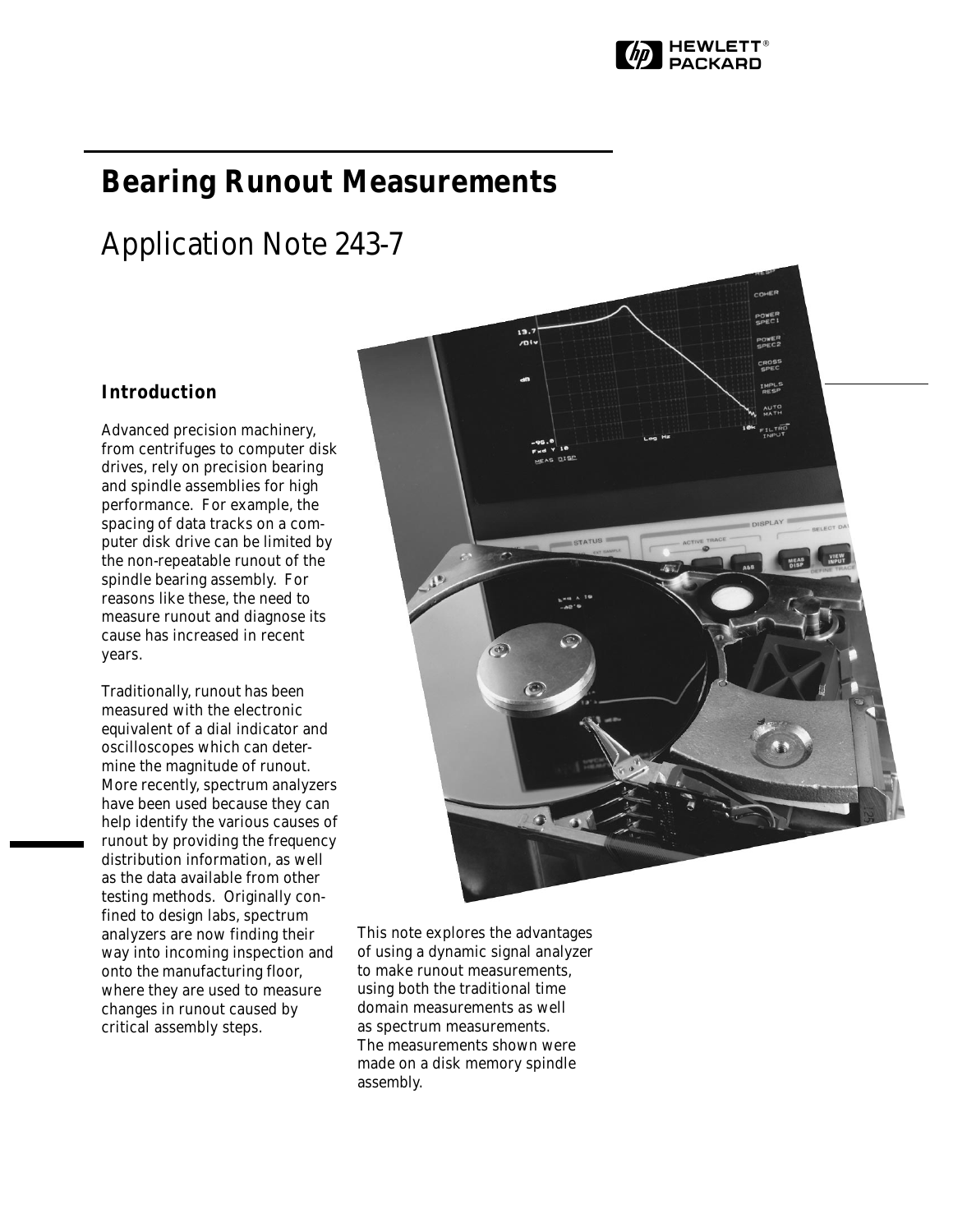

# **Bearing Runout Measurements**

# Application Note 243-7

# **Introduction**

Advanced precision machinery, from centrifuges to computer disk drives, rely on precision bearing and spindle assemblies for high performance. For example, the spacing of data tracks on a computer disk drive can be limited by the non-repeatable runout of the spindle bearing assembly. For reasons like these, the need to measure runout and diagnose its cause has increased in recent years.

Traditionally, runout has been measured with the electronic equivalent of a dial indicator and oscilloscopes which can determine the magnitude of runout. More recently, spectrum analyzers have been used because they can help identify the various causes of runout by providing the frequency distribution information, as well as the data available from other testing methods. Originally confined to design labs, spectrum analyzers are now finding their way into incoming inspection and onto the manufacturing floor, where they are used to measure changes in runout caused by critical assembly steps.



This note explores the advantages of using a dynamic signal analyzer to make runout measurements, using both the traditional time domain measurements as well as spectrum measurements. The measurements shown were made on a disk memory spindle assembly.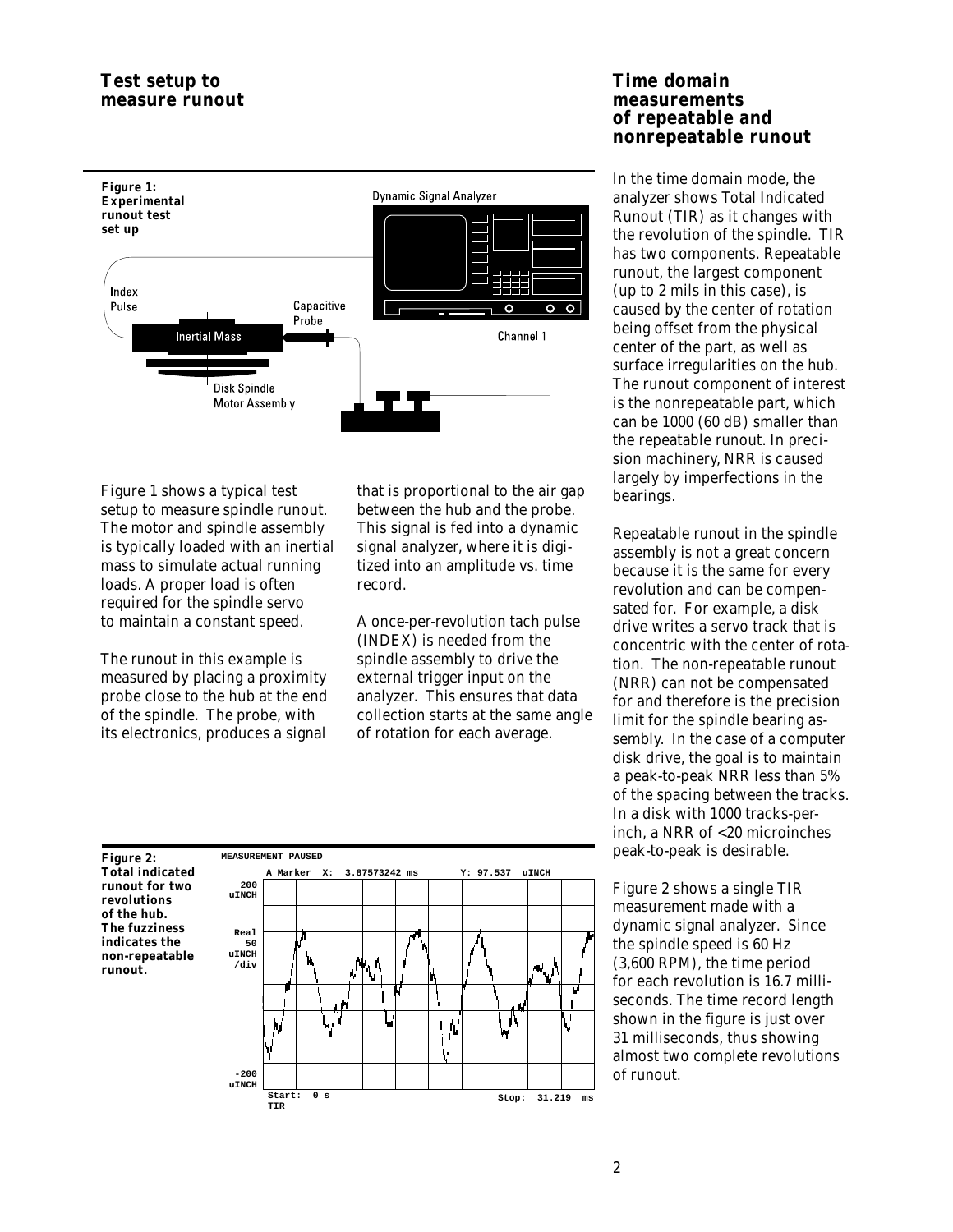

Figure 1 shows a typical test setup to measure spindle runout. The motor and spindle assembly is typically loaded with an inertial mass to simulate actual running loads. A proper load is often required for the spindle servo to maintain a constant speed.

The runout in this example is measured by placing a proximity probe close to the hub at the end of the spindle. The probe, with its electronics, produces a signal

that is proportional to the air gap between the hub and the probe. This signal is fed into a dynamic signal analyzer, where it is digitized into an amplitude vs. time record.

A once-per-revolution tach pulse (INDEX) is needed from the spindle assembly to drive the external trigger input on the analyzer. This ensures that data collection starts at the same angle of rotation for each average.

**Figure 2: Total indicated runout for two revolutions of the hub. The fuzziness indicates the non-repeatable runout.**



# **Time domain measurements of repeatable and nonrepeatable runout**

In the time domain mode, the analyzer shows Total Indicated Runout (TIR) as it changes with the revolution of the spindle. TIR has two components. Repeatable runout, the largest component (up to 2 mils in this case), is caused by the center of rotation being offset from the physical center of the part, as well as surface irregularities on the hub. The runout component of interest is the nonrepeatable part, which can be 1000 (60 dB) smaller than the repeatable runout. In precision machinery, NRR is caused largely by imperfections in the bearings.

Repeatable runout in the spindle assembly is not a great concern because it is the same for every revolution and can be compensated for. For example, a disk drive writes a servo track that is concentric with the center of rotation. The non-repeatable runout (NRR) can not be compensated for and therefore is the precision limit for the spindle bearing assembly. In the case of a computer disk drive, the goal is to maintain a peak-to-peak NRR less than 5% of the spacing between the tracks. In a disk with 1000 tracks-perinch, a NRR of <20 microinches peak-to-peak is desirable.

Figure 2 shows a single TIR measurement made with a dynamic signal analyzer. Since the spindle speed is 60 Hz (3,600 RPM), the time period for each revolution is 16.7 milliseconds. The time record length shown in the figure is just over 31 milliseconds, thus showing almost two complete revolutions of runout.

2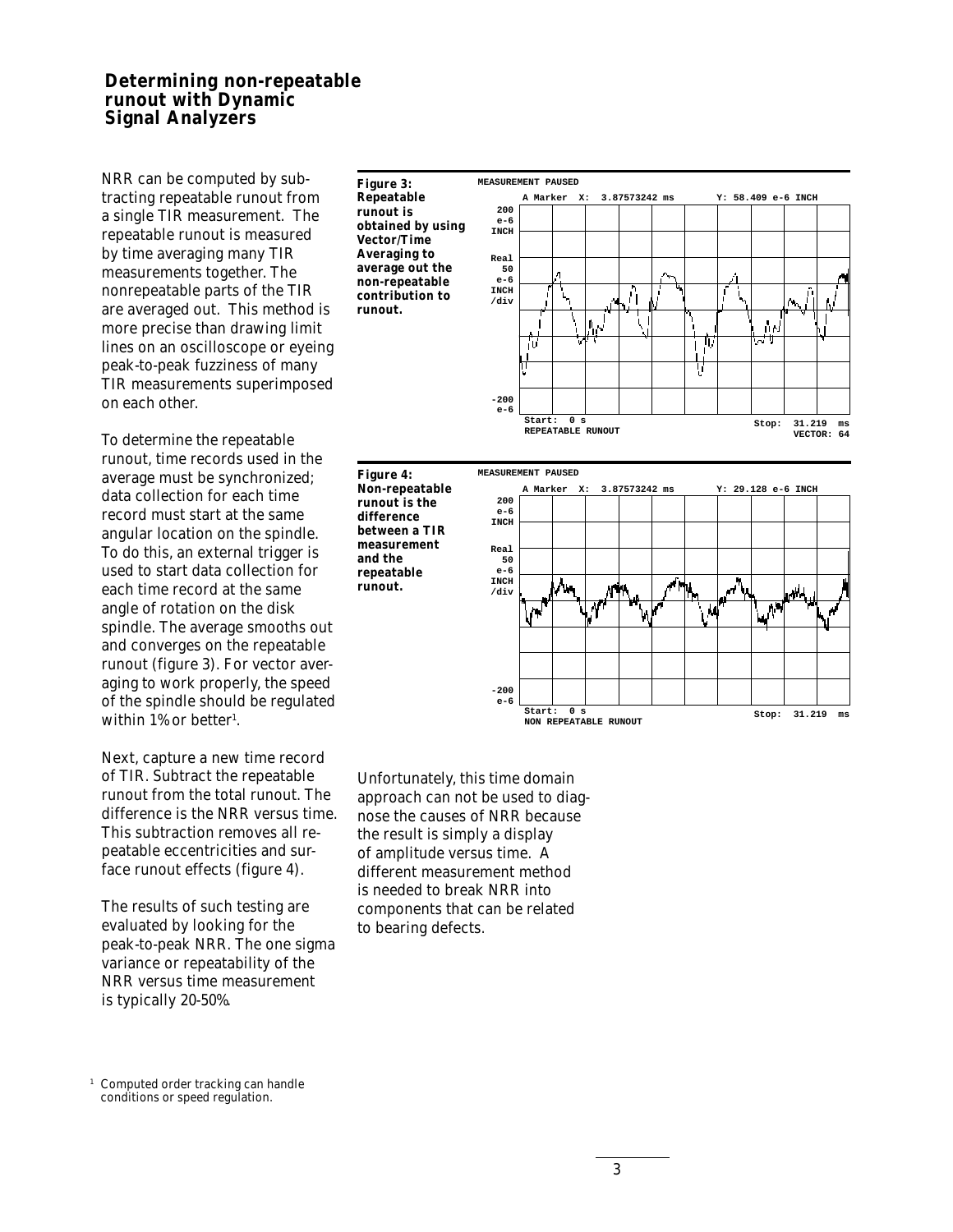# **Determining non-repeatable runout with Dynamic Signal Analyzers**

NRR can be computed by subtracting repeatable runout from a single TIR measurement. The repeatable runout is measured by time averaging many TIR measurements together. The nonrepeatable parts of the TIR are averaged out. This method is more precise than drawing limit lines on an oscilloscope or eyeing peak-to-peak fuzziness of many TIR measurements superimposed on each other.

To determine the repeatable runout, time records used in the average must be synchronized; data collection for each time record must start at the same angular location on the spindle. To do this, an external trigger is used to start data collection for each time record at the same angle of rotation on the disk spindle. The average smooths out and converges on the repeatable runout (figure 3). For vector averaging to work properly, the speed of the spindle should be regulated within 1% or better<sup>1</sup>.

Next, capture a new time record of TIR. Subtract the repeatable runout from the total runout. The difference is the NRR versus time. This subtraction removes all repeatable eccentricities and surface runout effects (figure 4).

The results of such testing are evaluated by looking for the peak-to-peak NRR. The one sigma variance or repeatability of the NRR versus time measurement is typically 20-50%.



**and the**

**runout.**





Unfortunately, this time domain approach can not be used to diagnose the causes of NRR because the result is simply a display of amplitude versus time. A different measurement method is needed to break NRR into components that can be related to bearing defects.

<sup>1</sup> Computed order tracking can handle conditions or speed regulation.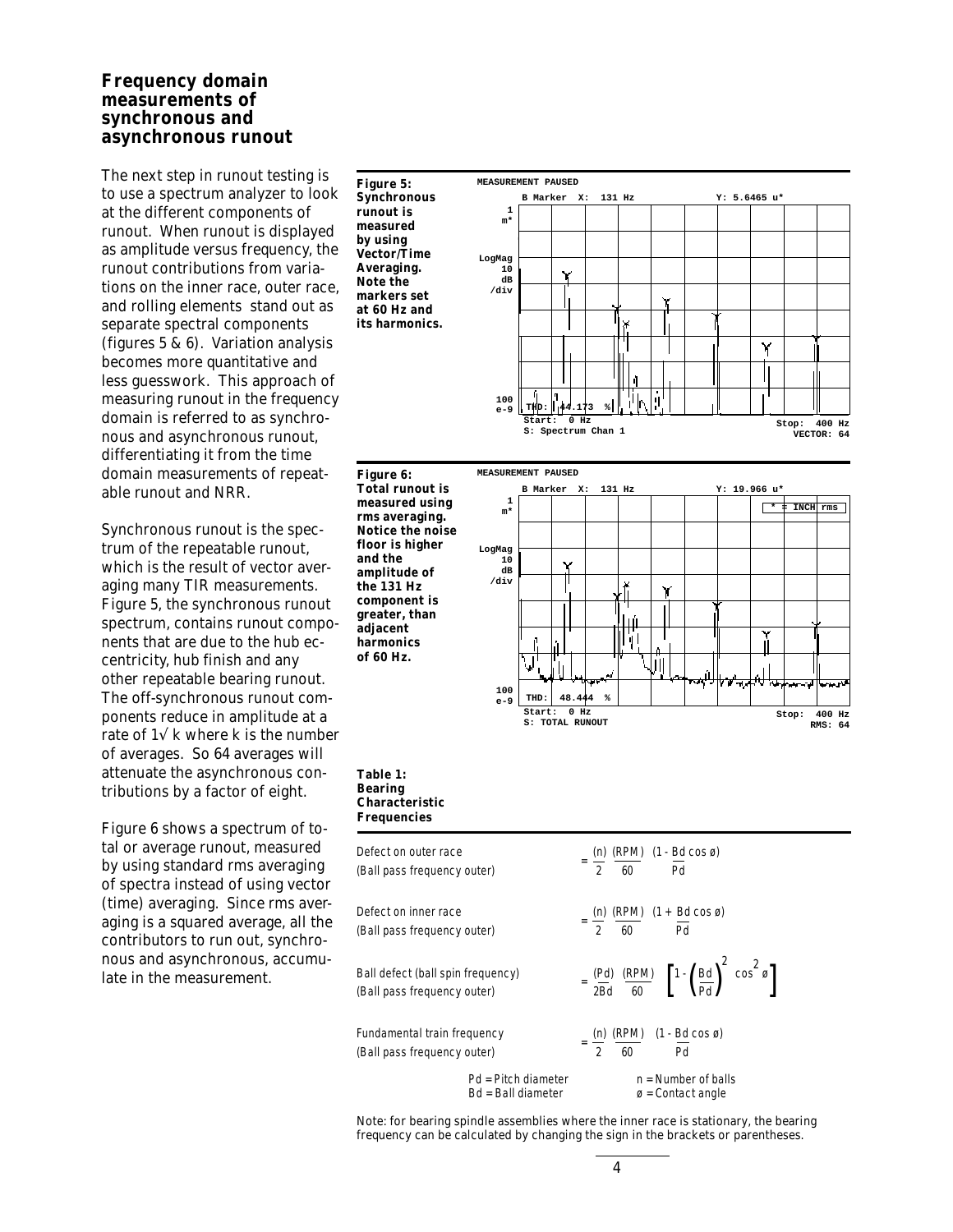# **Frequency domain measurements of synchronous and asynchronous runout**

The next step in runout testing is to use a spectrum analyzer to look at the different components of runout. When runout is displayed as amplitude versus frequency, the runout contributions from variations on the inner race, outer race, and rolling elements stand out as separate spectral components (figures 5 & 6). Variation analysis becomes more quantitative and less guesswork. This approach of measuring runout in the frequency domain is referred to as synchronous and asynchronous runout, differentiating it from the time domain measurements of repeatable runout and NRR.

Synchronous runout is the spectrum of the repeatable runout, which is the result of vector averaging many TIR measurements. Figure 5, the synchronous runout spectrum, contains runout components that are due to the hub eccentricity, hub finish and any other repeatable bearing runout. The off-synchronous runout components reduce in amplitude at a ponents reduce in amplitude at a<br>rate of  $1\sqrt{k}$  where k is the number of averages. So 64 averages will attenuate the asynchronous contributions by a factor of eight.

Figure 6 shows a spectrum of total or average runout, measured by using standard rms averaging of spectra instead of using vector (time) averaging. Since rms averaging is a squared average, all the contributors to run out, synchronous and asynchronous, accumulate in the measurement.

**Figure 5: Synchronous runout is measured by using Vector/Time Averaging. Note the markers set at 60 Hz and its harmonics.**







#### **Table 1: Bearing Characteristic Frequencies**

| Defect on outer race<br>(Ball pass frequency outer)              |                                           |  |  | $=$ $\frac{(n)}{2}$ $\frac{(RPM)}{60}$ $(1 - Bd \cos \varnothing)$  |                                                                                                            |  |
|------------------------------------------------------------------|-------------------------------------------|--|--|---------------------------------------------------------------------|------------------------------------------------------------------------------------------------------------|--|
| Defect on inner race<br>(Ball pass frequency outer)              |                                           |  |  | $=\frac{(n)}{2} \frac{(RPM)}{60} (1 + \frac{Bd}{Pd} \cos \theta)$   |                                                                                                            |  |
| Ball defect (ball spin frequency)<br>(Ball pass frequency outer) |                                           |  |  |                                                                     | $= \frac{(Pd)}{2Bd} \frac{(RPM)}{60} \quad \left[1 - \left(\frac{Bd}{Pd}\right)^2 \cos^2 \vartheta\right]$ |  |
| Fundamental train frequency<br>(Ball pass frequency outer)       |                                           |  |  | $=\frac{(n)}{2} \frac{(RPM)}{60}$ $(1 - \frac{Bd}{Pd} \cos \theta)$ |                                                                                                            |  |
|                                                                  | Pd = Pitch diameter<br>Bd = Ball diameter |  |  | $n =$ Number of balls<br>$\varnothing$ = Contact angle              |                                                                                                            |  |

Note: for bearing spindle assemblies where the inner race is stationary, the bearing frequency can be calculated by changing the sign in the brackets or parentheses.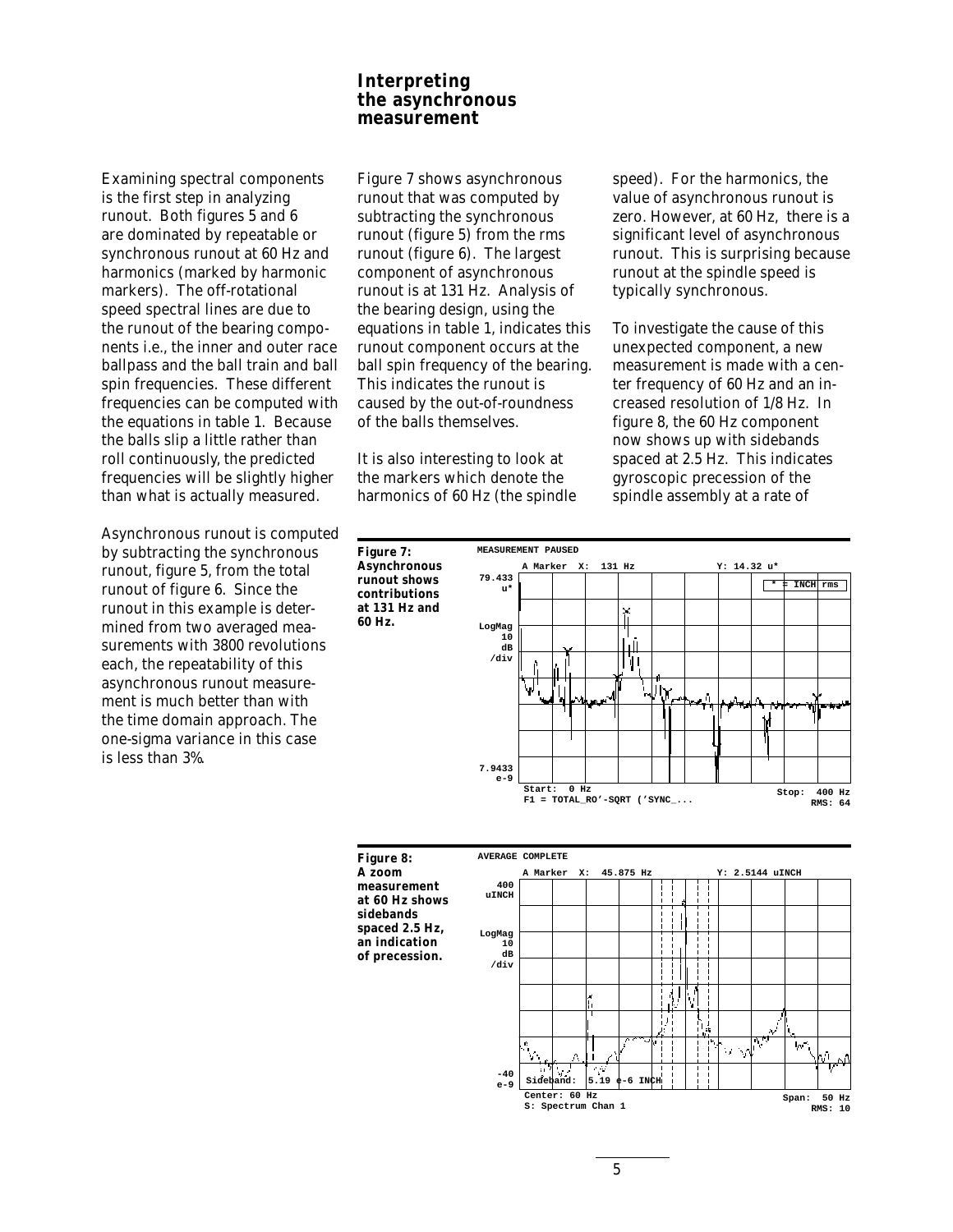# **Interpreting the asynchronous measurement**

Examining spectral components is the first step in analyzing runout. Both figures 5 and 6 are dominated by repeatable or synchronous runout at 60 Hz and harmonics (marked by harmonic markers). The off-rotational speed spectral lines are due to the runout of the bearing components i.e., the inner and outer race ballpass and the ball train and ball spin frequencies. These different frequencies can be computed with the equations in table 1. Because the balls slip a little rather than roll continuously, the predicted frequencies will be slightly higher than what is actually measured.

Asynchronous runout is computed by subtracting the synchronous runout, figure 5, from the total runout of figure 6. Since the runout in this example is determined from two averaged measurements with 3800 revolutions each, the repeatability of this asynchronous runout measurement is much better than with the time domain approach. The one-sigma variance in this case is less than 3%.

Figure 7 shows asynchronous runout that was computed by subtracting the synchronous runout (figure 5) from the rms runout (figure 6). The largest component of asynchronous runout is at 131 Hz. Analysis of the bearing design, using the equations in table 1, indicates this runout component occurs at the ball spin frequency of the bearing. This indicates the runout is caused by the out-of-roundness of the balls themselves.

It is also interesting to look at the markers which denote the harmonics of 60 Hz (the spindle

**Figure 7:**

**60 Hz.**

speed). For the harmonics, the value of asynchronous runout is zero. However, at 60 Hz, there is a significant level of asynchronous runout. This is surprising because runout at the spindle speed is typically synchronous.

To investigate the cause of this unexpected component, a new measurement is made with a center frequency of 60 Hz and an increased resolution of 1/8 Hz. In figure 8, the 60 Hz component now shows up with sidebands spaced at 2.5 Hz. This indicates gyroscopic precession of the spindle assembly at a rate of



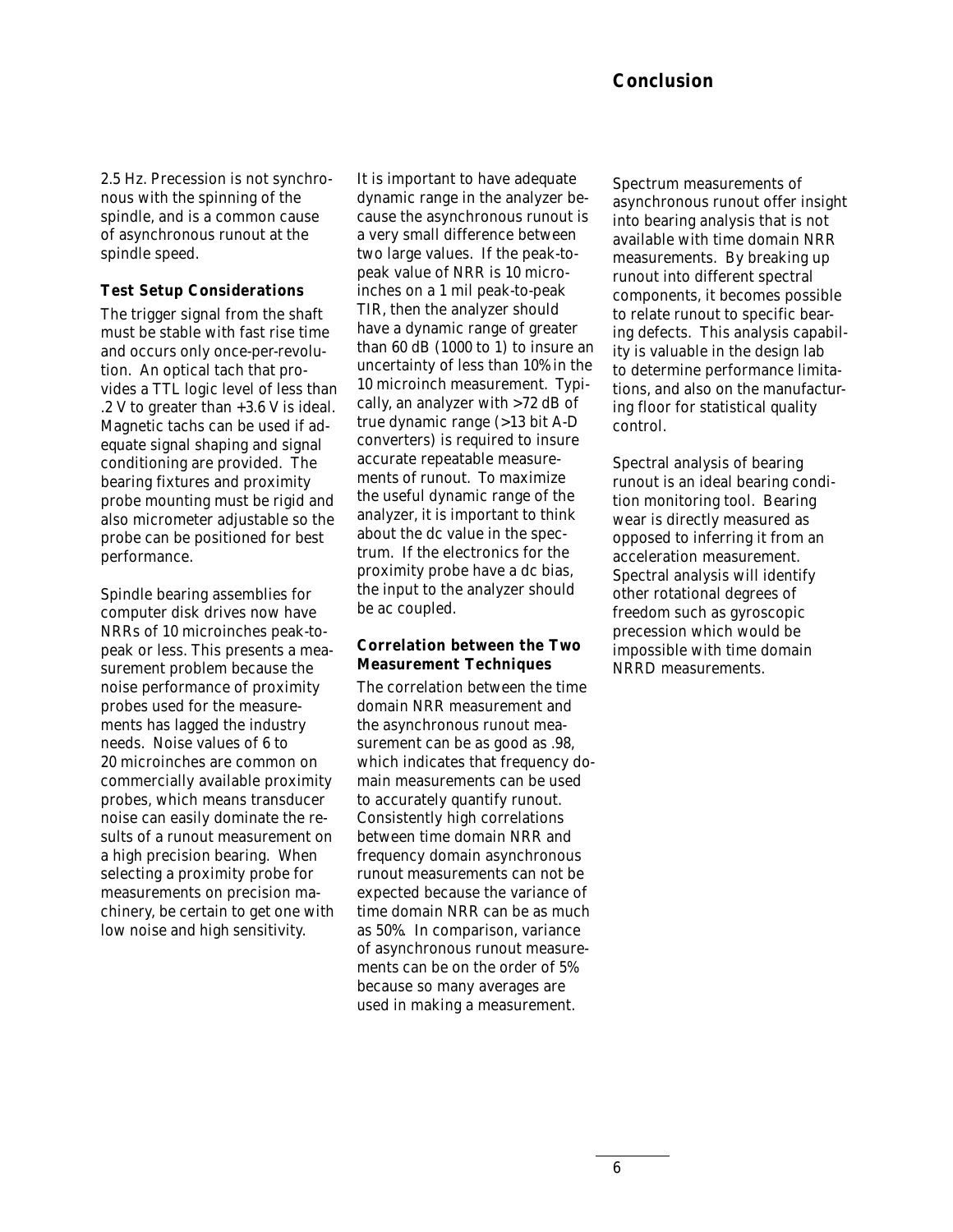2.5 Hz. Precession is not synchronous with the spinning of the spindle, and is a common cause of asynchronous runout at the spindle speed.

## **Test Setup Considerations**

The trigger signal from the shaft must be stable with fast rise time and occurs only once-per-revolution. An optical tach that provides a TTL logic level of less than .2 V to greater than +3.6 V is ideal. Magnetic tachs can be used if adequate signal shaping and signal conditioning are provided. The bearing fixtures and proximity probe mounting must be rigid and also micrometer adjustable so the probe can be positioned for best performance.

Spindle bearing assemblies for computer disk drives now have NRRs of 10 microinches peak-topeak or less. This presents a measurement problem because the noise performance of proximity probes used for the measurements has lagged the industry needs. Noise values of 6 to 20 microinches are common on commercially available proximity probes, which means transducer noise can easily dominate the results of a runout measurement on a high precision bearing. When selecting a proximity probe for measurements on precision machinery, be certain to get one with low noise and high sensitivity.

It is important to have adequate dynamic range in the analyzer because the asynchronous runout is a very small difference between two large values. If the peak-topeak value of NRR is 10 microinches on a 1 mil peak-to-peak TIR, then the analyzer should have a dynamic range of greater than 60 dB (1000 to 1) to insure an uncertainty of less than 10% in the 10 microinch measurement. Typically, an analyzer with >72 dB of true dynamic range (>13 bit A-D converters) is required to insure accurate repeatable measurements of runout. To maximize the useful dynamic range of the analyzer, it is important to think about the dc value in the spectrum. If the electronics for the proximity probe have a dc bias, the input to the analyzer should be ac coupled.

## **Correlation between the Two Measurement Techniques**

The correlation between the time domain NRR measurement and the asynchronous runout measurement can be as good as .98, which indicates that frequency domain measurements can be used to accurately quantify runout. Consistently high correlations between time domain NRR and frequency domain asynchronous runout measurements can not be expected because the variance of time domain NRR can be as much as 50%. In comparison, variance of asynchronous runout measurements can be on the order of 5% because so many averages are used in making a measurement.

Spectrum measurements of asynchronous runout offer insight into bearing analysis that is not available with time domain NRR measurements. By breaking up runout into different spectral components, it becomes possible to relate runout to specific bearing defects. This analysis capability is valuable in the design lab to determine performance limitations, and also on the manufacturing floor for statistical quality control.

Spectral analysis of bearing runout is an ideal bearing condition monitoring tool. Bearing wear is directly measured as opposed to inferring it from an acceleration measurement. Spectral analysis will identify other rotational degrees of freedom such as gyroscopic precession which would be impossible with time domain NRRD measurements.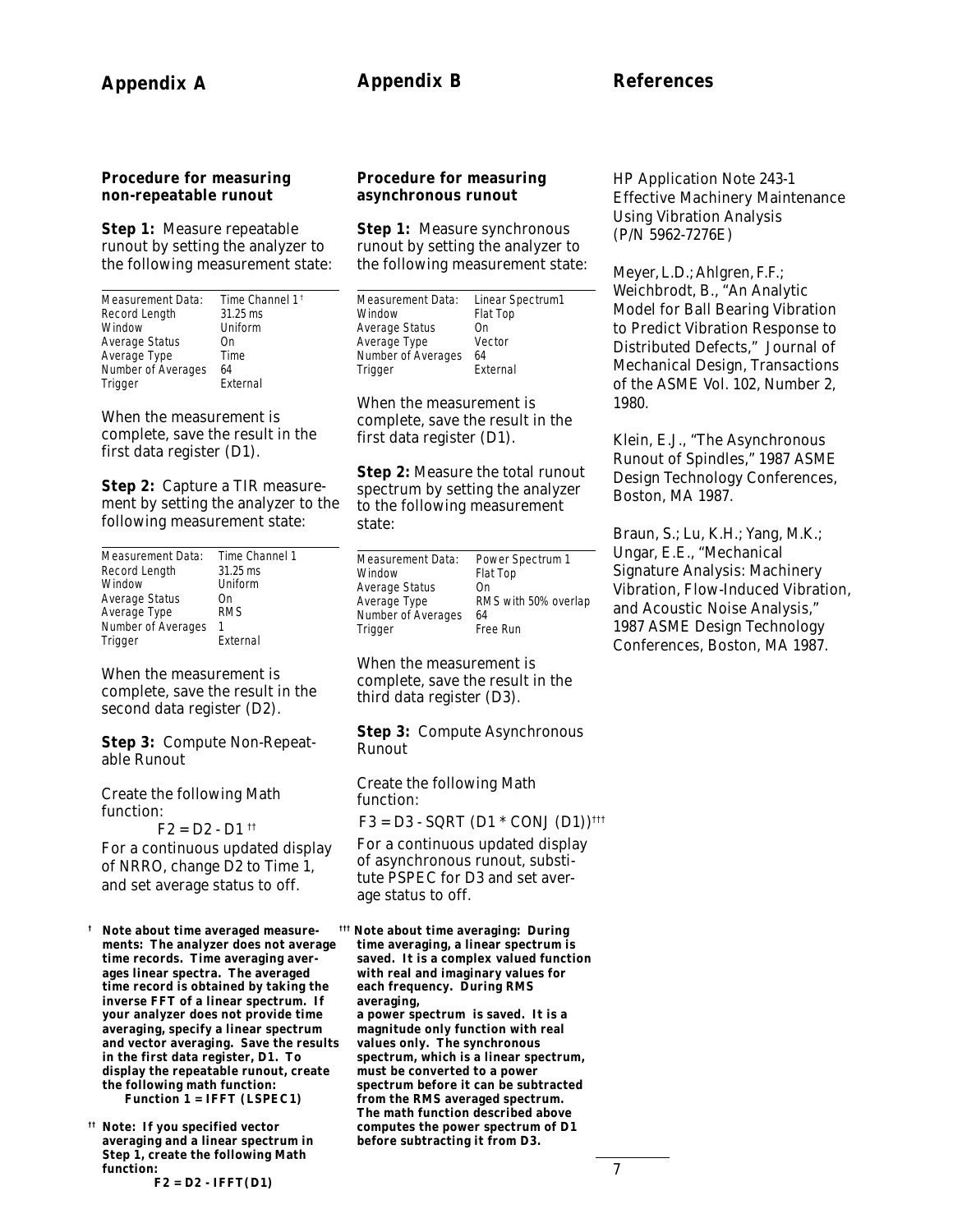## **Procedure for measuring non-repeatable runout**

**Step 1:** Measure repeatable runout by setting the analyzer to the following measurement state:

| Measurement Data:  | Time Channel 1 <sup>t</sup> |
|--------------------|-----------------------------|
| Record Length      | $31.25$ ms                  |
| Window             | Uniform                     |
| Average Status     | Ωn                          |
| Average Type       | Time                        |
| Number of Averages | 64                          |
| Trigger            | External                    |

When the measurement is complete, save the result in the first data register (D1).

**Step 2:** Capture a TIR measurement by setting the analyzer to the following measurement state:

| Measurement Data:  | Time Channel 1 |  |  |
|--------------------|----------------|--|--|
| Record Length      | $31.25$ ms     |  |  |
| Window             | Uniform        |  |  |
| Average Status     | On             |  |  |
| Average Type       | <b>RMS</b>     |  |  |
| Number of Averages |                |  |  |
| Trigger            | External       |  |  |

When the measurement is complete, save the result in the second data register (D2).

**Step 3:** Compute Non-Repeatable Runout

Create the following Math function:

 $F2 = D2 - D1$ <sup>††</sup> For a continuous updated display of NRRO, change D2 to Time 1, and set average status to off.

**† Note about time averaged measurements: The analyzer does not average time records. Time averaging averages linear spectra. The averaged time record is obtained by taking the inverse FFT of a linear spectrum. If your analyzer does not provide time averaging, specify a linear spectrum and vector averaging. Save the results in the first data register, D1. To display the repeatable runout, create the following math function: Function 1 = IFFT (LSPEC1)**

**†† Note: If you specified vector averaging and a linear spectrum in Step 1, create the following Math function:**

**F2 = D2 - IFFT(D1)**

## **Procedure for measuring asynchronous runout**

**Step 1: Measure synchronous** runout by setting the analyzer to the following measurement state:

| Measurement Data:  | Linear Spectrum1 |
|--------------------|------------------|
| Window             | Flat Top         |
| Average Status     | 0n               |
| Average Type       | Vector           |
| Number of Averages | 64               |
| Trigger            | External         |

When the measurement is complete, save the result in the first data register (D1).

**Step 2:** Measure the total runout spectrum by setting the analyzer to the following measurement state:

| Measurement Data:  | Power Spectrum 1     |
|--------------------|----------------------|
| Window             | Flat Top             |
| Average Status     | Ωn                   |
| Average Type       | RMS with 50% overlap |
| Number of Averages | 64                   |
| Trigger            | Free Run             |

When the measurement is complete, save the result in the third data register (D3).

## **Step 3:** Compute Asynchronous Runout

Create the following Math function:  $F3 = D3 - SQRT (D1 * CONJ (D1))$ <sup>†††</sup>

For a continuous updated display of asynchronous runout, substitute PSPEC for D3 and set average status to off.

**††† Note about time averaging: During time averaging, a linear spectrum is saved. It is a complex valued function with real and imaginary values for each frequency. During RMS averaging, a power spectrum is saved. It is a magnitude only function with real values only. The synchronous spectrum, which is a linear spectrum, must be converted to a power spectrum before it can be subtracted from the RMS averaged spectrum. The math function described above computes the power spectrum of D1 before subtracting it from D3.**

HP Application Note 243-1 Effective Machinery Maintenance Using Vibration Analysis (P/N 5962-7276E)

Meyer, L.D.; Ahlgren, F.F.; Weichbrodt, B., "An Analytic Model for Ball Bearing Vibration to Predict Vibration Response to Distributed Defects," Journal of Mechanical Design, Transactions of the ASME Vol. 102, Number 2, 1980.

Klein, E.J., "The Asynchronous Runout of Spindles," 1987 ASME Design Technology Conferences, Boston, MA 1987.

Braun, S.; Lu, K.H.; Yang, M.K.; Ungar, E.E., "Mechanical Signature Analysis: Machinery Vibration, Flow-Induced Vibration, and Acoustic Noise Analysis," 1987 ASME Design Technology Conferences, Boston, MA 1987.